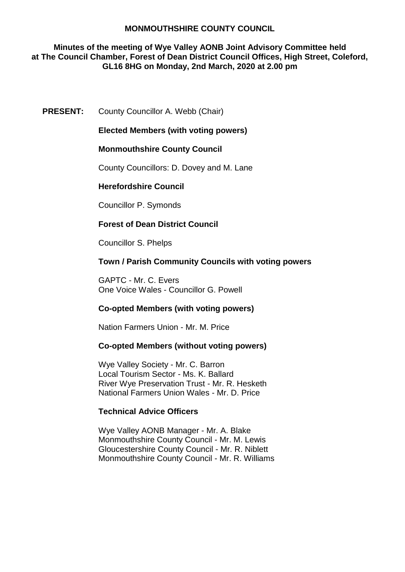### **Minutes of the meeting of Wye Valley AONB Joint Advisory Committee held at The Council Chamber, Forest of Dean District Council Offices, High Street, Coleford, GL16 8HG on Monday, 2nd March, 2020 at 2.00 pm**

### **PRESENT:** County Councillor A. Webb (Chair)

**Elected Members (with voting powers)**

### **Monmouthshire County Council**

County Councillors: D. Dovey and M. Lane

### **Herefordshire Council**

Councillor P. Symonds

### **Forest of Dean District Council**

Councillor S. Phelps

### **Town / Parish Community Councils with voting powers**

GAPTC - Mr. C. Evers One Voice Wales - Councillor G. Powell

### **Co-opted Members (with voting powers)**

Nation Farmers Union - Mr. M. Price

#### **Co-opted Members (without voting powers)**

Wye Valley Society - Mr. C. Barron Local Tourism Sector - Ms. K. Ballard River Wye Preservation Trust - Mr. R. Hesketh National Farmers Union Wales - Mr. D. Price

#### **Technical Advice Officers**

Wye Valley AONB Manager - Mr. A. Blake Monmouthshire County Council - Mr. M. Lewis Gloucestershire County Council - Mr. R. Niblett Monmouthshire County Council - Mr. R. Williams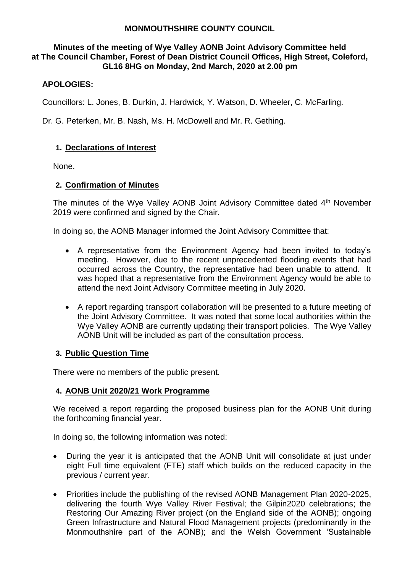### **Minutes of the meeting of Wye Valley AONB Joint Advisory Committee held at The Council Chamber, Forest of Dean District Council Offices, High Street, Coleford, GL16 8HG on Monday, 2nd March, 2020 at 2.00 pm**

# **APOLOGIES:**

Councillors: L. Jones, B. Durkin, J. Hardwick, Y. Watson, D. Wheeler, C. McFarling.

Dr. G. Peterken, Mr. B. Nash, Ms. H. McDowell and Mr. R. Gething.

## **1. Declarations of Interest**

None.

### **2. Confirmation of Minutes**

The minutes of the Wye Valley AONB Joint Advisory Committee dated 4<sup>th</sup> November 2019 were confirmed and signed by the Chair.

In doing so, the AONB Manager informed the Joint Advisory Committee that:

- A representative from the Environment Agency had been invited to today's meeting. However, due to the recent unprecedented flooding events that had occurred across the Country, the representative had been unable to attend. It was hoped that a representative from the Environment Agency would be able to attend the next Joint Advisory Committee meeting in July 2020.
- A report regarding transport collaboration will be presented to a future meeting of the Joint Advisory Committee. It was noted that some local authorities within the Wye Valley AONB are currently updating their transport policies. The Wye Valley AONB Unit will be included as part of the consultation process.

### **3. Public Question Time**

There were no members of the public present.

### **4. AONB Unit 2020/21 Work Programme**

We received a report regarding the proposed business plan for the AONB Unit during the forthcoming financial year.

In doing so, the following information was noted:

- During the year it is anticipated that the AONB Unit will consolidate at just under eight Full time equivalent (FTE) staff which builds on the reduced capacity in the previous / current year.
- Priorities include the publishing of the revised AONB Management Plan 2020-2025, delivering the fourth Wye Valley River Festival; the Gilpin2020 celebrations; the Restoring Our Amazing River project (on the England side of the AONB); ongoing Green Infrastructure and Natural Flood Management projects (predominantly in the Monmouthshire part of the AONB); and the Welsh Government 'Sustainable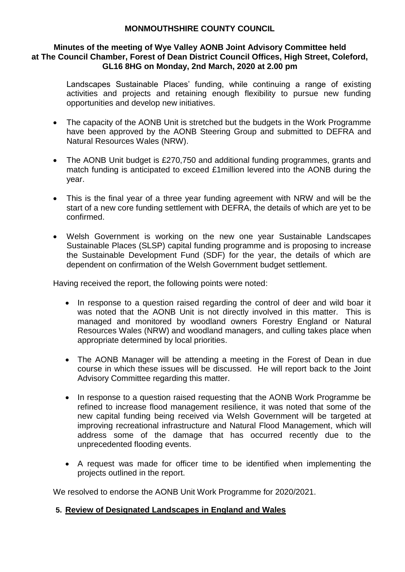### **Minutes of the meeting of Wye Valley AONB Joint Advisory Committee held at The Council Chamber, Forest of Dean District Council Offices, High Street, Coleford, GL16 8HG on Monday, 2nd March, 2020 at 2.00 pm**

Landscapes Sustainable Places' funding, while continuing a range of existing activities and projects and retaining enough flexibility to pursue new funding opportunities and develop new initiatives.

- The capacity of the AONB Unit is stretched but the budgets in the Work Programme have been approved by the AONB Steering Group and submitted to DEFRA and Natural Resources Wales (NRW).
- The AONB Unit budget is £270,750 and additional funding programmes, grants and match funding is anticipated to exceed £1million levered into the AONB during the year.
- This is the final year of a three year funding agreement with NRW and will be the start of a new core funding settlement with DEFRA, the details of which are yet to be confirmed.
- Welsh Government is working on the new one year Sustainable Landscapes Sustainable Places (SLSP) capital funding programme and is proposing to increase the Sustainable Development Fund (SDF) for the year, the details of which are dependent on confirmation of the Welsh Government budget settlement.

Having received the report, the following points were noted:

- In response to a question raised regarding the control of deer and wild boar it was noted that the AONB Unit is not directly involved in this matter. This is managed and monitored by woodland owners Forestry England or Natural Resources Wales (NRW) and woodland managers, and culling takes place when appropriate determined by local priorities.
- The AONB Manager will be attending a meeting in the Forest of Dean in due course in which these issues will be discussed. He will report back to the Joint Advisory Committee regarding this matter.
- In response to a question raised requesting that the AONB Work Programme be refined to increase flood management resilience, it was noted that some of the new capital funding being received via Welsh Government will be targeted at improving recreational infrastructure and Natural Flood Management, which will address some of the damage that has occurred recently due to the unprecedented flooding events.
- A request was made for officer time to be identified when implementing the projects outlined in the report.

We resolved to endorse the AONB Unit Work Programme for 2020/2021.

# **5. Review of Designated Landscapes in England and Wales**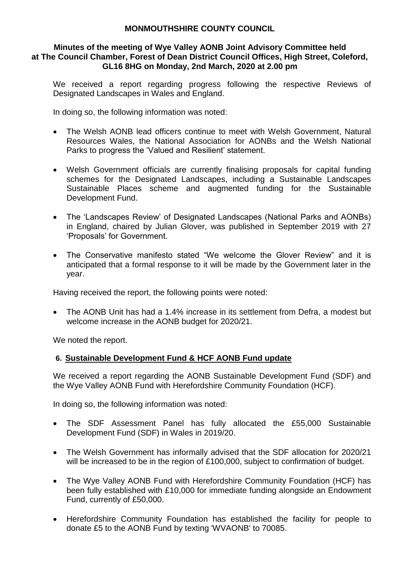### **Minutes of the meeting of Wye Valley AONB Joint Advisory Committee held at The Council Chamber, Forest of Dean District Council Offices, High Street, Coleford, GL16 8HG on Monday, 2nd March, 2020 at 2.00 pm**

We received a report regarding progress following the respective Reviews of Designated Landscapes in Wales and England.

In doing so, the following information was noted:

- The Welsh AONB lead officers continue to meet with Welsh Government, Natural Resources Wales, the National Association for AONBs and the Welsh National Parks to progress the 'Valued and Resilient' statement.
- Welsh Government officials are currently finalising proposals for capital funding schemes for the Designated Landscapes, including a Sustainable Landscapes Sustainable Places scheme and augmented funding for the Sustainable Development Fund.
- The 'Landscapes Review' of Designated Landscapes (National Parks and AONBs) in England, chaired by Julian Glover, was published in September 2019 with 27 'Proposals' for Government.
- The Conservative manifesto stated "We welcome the Glover Review" and it is anticipated that a formal response to it will be made by the Government later in the year.

Having received the report, the following points were noted:

• The AONB Unit has had a 1.4% increase in its settlement from Defra, a modest but welcome increase in the AONB budget for 2020/21.

We noted the report.

# **6. Sustainable Development Fund & HCF AONB Fund update**

We received a report regarding the AONB Sustainable Development Fund (SDF) and the Wye Valley AONB Fund with Herefordshire Community Foundation (HCF).

In doing so, the following information was noted:

- The SDF Assessment Panel has fully allocated the £55,000 Sustainable Development Fund (SDF) in Wales in 2019/20.
- The Welsh Government has informally advised that the SDF allocation for 2020/21 will be increased to be in the region of £100,000, subject to confirmation of budget.
- The Wye Valley AONB Fund with Herefordshire Community Foundation (HCF) has been fully established with £10,000 for immediate funding alongside an Endowment Fund, currently of £50,000.
- Herefordshire Community Foundation has established the facility for people to donate £5 to the AONB Fund by texting 'WVAONB' to 70085.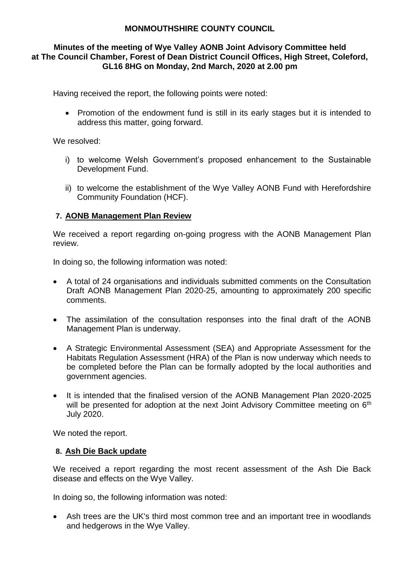### **Minutes of the meeting of Wye Valley AONB Joint Advisory Committee held at The Council Chamber, Forest of Dean District Council Offices, High Street, Coleford, GL16 8HG on Monday, 2nd March, 2020 at 2.00 pm**

Having received the report, the following points were noted:

• Promotion of the endowment fund is still in its early stages but it is intended to address this matter, going forward.

We resolved:

- i) to welcome Welsh Government's proposed enhancement to the Sustainable Development Fund.
- ii) to welcome the establishment of the Wye Valley AONB Fund with Herefordshire Community Foundation (HCF).

## **7. AONB Management Plan Review**

We received a report regarding on-going progress with the AONB Management Plan review.

In doing so, the following information was noted:

- A total of 24 organisations and individuals submitted comments on the Consultation Draft AONB Management Plan 2020-25, amounting to approximately 200 specific comments.
- The assimilation of the consultation responses into the final draft of the AONB Management Plan is underway.
- A Strategic Environmental Assessment (SEA) and Appropriate Assessment for the Habitats Regulation Assessment (HRA) of the Plan is now underway which needs to be completed before the Plan can be formally adopted by the local authorities and government agencies.
- It is intended that the finalised version of the AONB Management Plan 2020-2025 will be presented for adoption at the next Joint Advisory Committee meeting on 6<sup>th</sup> July 2020.

We noted the report.

### **8. Ash Die Back update**

We received a report regarding the most recent assessment of the Ash Die Back disease and effects on the Wye Valley.

In doing so, the following information was noted:

 Ash trees are the UK's third most common tree and an important tree in woodlands and hedgerows in the Wye Valley.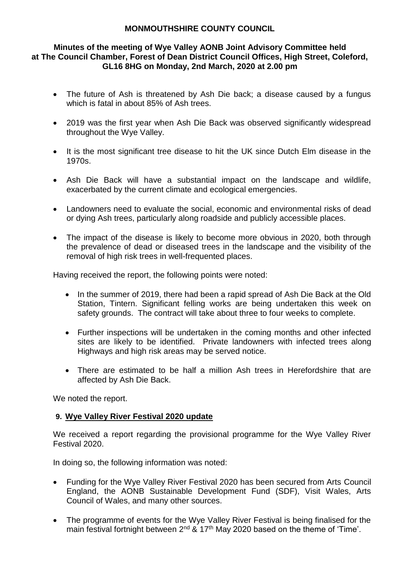### **Minutes of the meeting of Wye Valley AONB Joint Advisory Committee held at The Council Chamber, Forest of Dean District Council Offices, High Street, Coleford, GL16 8HG on Monday, 2nd March, 2020 at 2.00 pm**

- The future of Ash is threatened by Ash Die back: a disease caused by a fungus which is fatal in about 85% of Ash trees.
- 2019 was the first year when Ash Die Back was observed significantly widespread throughout the Wye Valley.
- It is the most significant tree disease to hit the UK since Dutch Elm disease in the 1970s.
- Ash Die Back will have a substantial impact on the landscape and wildlife, exacerbated by the current climate and ecological emergencies.
- Landowners need to evaluate the social, economic and environmental risks of dead or dying Ash trees, particularly along roadside and publicly accessible places.
- The impact of the disease is likely to become more obvious in 2020, both through the prevalence of dead or diseased trees in the landscape and the visibility of the removal of high risk trees in well-frequented places.

Having received the report, the following points were noted:

- In the summer of 2019, there had been a rapid spread of Ash Die Back at the Old Station, Tintern. Significant felling works are being undertaken this week on safety grounds. The contract will take about three to four weeks to complete.
- Further inspections will be undertaken in the coming months and other infected sites are likely to be identified. Private landowners with infected trees along Highways and high risk areas may be served notice.
- There are estimated to be half a million Ash trees in Herefordshire that are affected by Ash Die Back.

We noted the report.

# **9. Wye Valley River Festival 2020 update**

We received a report regarding the provisional programme for the Wye Valley River Festival 2020.

In doing so, the following information was noted:

- Funding for the Wye Valley River Festival 2020 has been secured from Arts Council England, the AONB Sustainable Development Fund (SDF), Visit Wales, Arts Council of Wales, and many other sources.
- The programme of events for the Wye Valley River Festival is being finalised for the main festival fortnight between  $2^{nd}$  & 17<sup>th</sup> May 2020 based on the theme of 'Time'.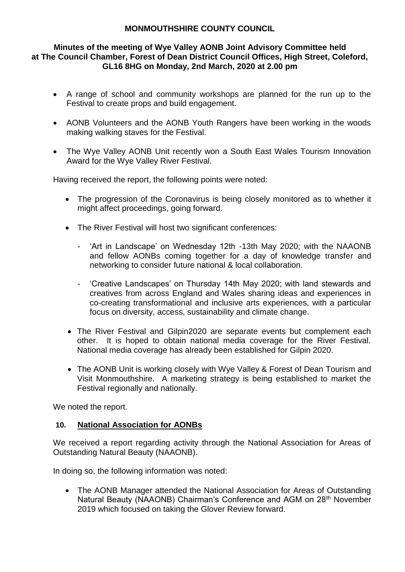### **Minutes of the meeting of Wye Valley AONB Joint Advisory Committee held at The Council Chamber, Forest of Dean District Council Offices, High Street, Coleford, GL16 8HG on Monday, 2nd March, 2020 at 2.00 pm**

- A range of school and community workshops are planned for the run up to the Festival to create props and build engagement.
- AONB Volunteers and the AONB Youth Rangers have been working in the woods making walking staves for the Festival.
- The Wye Valley AONB Unit recently won a South East Wales Tourism Innovation Award for the Wye Valley River Festival.

Having received the report, the following points were noted:

- The progression of the Coronavirus is being closely monitored as to whether it might affect proceedings, going forward.
- The River Festival will host two significant conferences:
	- 'Art in Landscape' on Wednesday 12th -13th May 2020; with the NAAONB and fellow AONBs coming together for a day of knowledge transfer and networking to consider future national & local collaboration.
	- 'Creative Landscapes' on Thursday 14th May 2020; with land stewards and creatives from across England and Wales sharing ideas and experiences in co-creating transformational and inclusive arts experiences, with a particular focus on diversity, access, sustainability and climate change.
- The River Festival and Gilpin2020 are separate events but complement each other. It is hoped to obtain national media coverage for the River Festival. National media coverage has already been established for Gilpin 2020.
- The AONB Unit is working closely with Wye Valley & Forest of Dean Tourism and Visit Monmouthshire. A marketing strategy is being established to market the Festival regionally and nationally.

We noted the report.

### **10. National Association for AONBs**

We received a report regarding activity through the National Association for Areas of Outstanding Natural Beauty (NAAONB).

In doing so, the following information was noted:

• The AONB Manager attended the National Association for Areas of Outstanding Natural Beauty (NAAONB) Chairman's Conference and AGM on 28<sup>th</sup> November 2019 which focused on taking the Glover Review forward.